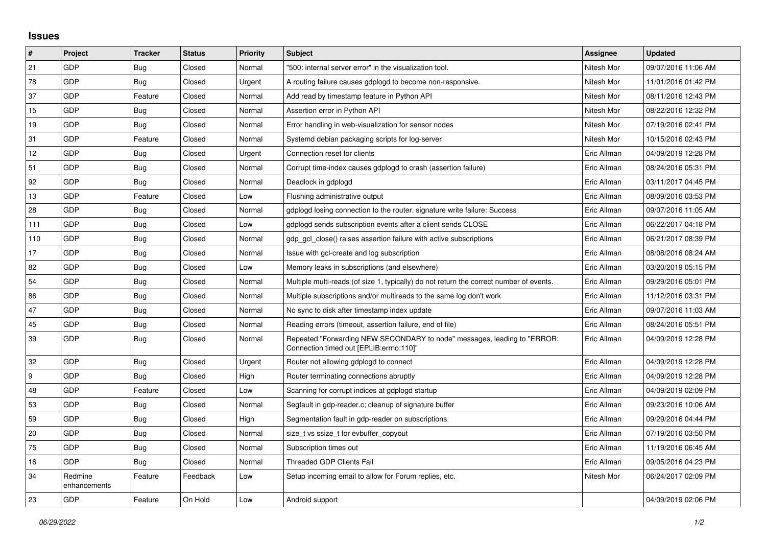## **Issues**

| $\vert$ # | Project                 | <b>Tracker</b> | <b>Status</b> | <b>Priority</b> | <b>Subject</b>                                                                                                      | Assignee    | <b>Updated</b>      |
|-----------|-------------------------|----------------|---------------|-----------------|---------------------------------------------------------------------------------------------------------------------|-------------|---------------------|
| 21        | GDP                     | Bug            | Closed        | Normal          | '500: internal server error" in the visualization tool.                                                             | Nitesh Mor  | 09/07/2016 11:06 AM |
| 78        | GDP                     | Bug            | Closed        | Urgent          | A routing failure causes gdplogd to become non-responsive.                                                          | Nitesh Mor  | 11/01/2016 01:42 PM |
| 37        | GDP                     | Feature        | Closed        | Normal          | Add read by timestamp feature in Python API                                                                         | Nitesh Mor  | 08/11/2016 12:43 PM |
| 15        | GDP                     | Bug            | Closed        | Normal          | Assertion error in Python API                                                                                       | Nitesh Mor  | 08/22/2016 12:32 PM |
| 19        | GDP                     | Bug            | Closed        | Normal          | Error handling in web-visualization for sensor nodes                                                                | Nitesh Mor  | 07/19/2016 02:41 PM |
| 31        | GDP                     | Feature        | Closed        | Normal          | Systemd debian packaging scripts for log-server                                                                     | Nitesh Mor  | 10/15/2016 02:43 PM |
| 12        | GDP                     | Bug            | Closed        | Urgent          | Connection reset for clients                                                                                        | Eric Allman | 04/09/2019 12:28 PM |
| 51        | GDP                     | Bug            | Closed        | Normal          | Corrupt time-index causes gdplogd to crash (assertion failure)                                                      | Eric Allman | 08/24/2016 05:31 PM |
| 92        | GDP                     | Bug            | Closed        | Normal          | Deadlock in gdplogd                                                                                                 | Eric Allman | 03/11/2017 04:45 PM |
| 13        | GDP                     | Feature        | Closed        | Low             | Flushing administrative output                                                                                      | Eric Allman | 08/09/2016 03:53 PM |
| 28        | GDP                     | Bug            | Closed        | Normal          | gdplogd losing connection to the router. signature write failure: Success                                           | Eric Allman | 09/07/2016 11:05 AM |
| 111       | GDP                     | Bug            | Closed        | Low             | gdplogd sends subscription events after a client sends CLOSE                                                        | Eric Allman | 06/22/2017 04:18 PM |
| 110       | GDP                     | <b>Bug</b>     | Closed        | Normal          | gdp gcl close() raises assertion failure with active subscriptions                                                  | Eric Allman | 06/21/2017 08:39 PM |
| 17        | GDP                     | <b>Bug</b>     | Closed        | Normal          | Issue with gcl-create and log subscription                                                                          | Eric Allman | 08/08/2016 08:24 AM |
| 82        | GDP                     | Bug            | Closed        | Low             | Memory leaks in subscriptions (and elsewhere)                                                                       | Eric Allman | 03/20/2019 05:15 PM |
| 54        | GDP                     | Bug            | Closed        | Normal          | Multiple multi-reads (of size 1, typically) do not return the correct number of events.                             | Eric Allman | 09/29/2016 05:01 PM |
| 86        | GDP                     | <b>Bug</b>     | Closed        | Normal          | Multiple subscriptions and/or multireads to the same log don't work                                                 | Eric Allman | 11/12/2016 03:31 PM |
| 47        | GDP                     | <b>Bug</b>     | Closed        | Normal          | No sync to disk after timestamp index update                                                                        | Eric Allman | 09/07/2016 11:03 AM |
| 45        | GDP                     | <b>Bug</b>     | Closed        | Normal          | Reading errors (timeout, assertion failure, end of file)                                                            | Eric Allman | 08/24/2016 05:51 PM |
| 39        | GDP                     | <b>Bug</b>     | Closed        | Normal          | Repeated "Forwarding NEW SECONDARY to node" messages, leading to "ERROR:<br>Connection timed out [EPLIB:errno:110]" | Eric Allman | 04/09/2019 12:28 PM |
| 32        | GDP                     | <b>Bug</b>     | Closed        | Urgent          | Router not allowing gdplogd to connect                                                                              | Eric Allman | 04/09/2019 12:28 PM |
| 9         | GDP                     | <b>Bug</b>     | Closed        | High            | Router terminating connections abruptly                                                                             | Eric Allman | 04/09/2019 12:28 PM |
| 48        | GDP                     | Feature        | Closed        | Low             | Scanning for corrupt indices at gdplogd startup                                                                     | Eric Allman | 04/09/2019 02:09 PM |
| 53        | GDP                     | <b>Bug</b>     | Closed        | Normal          | Segfault in gdp-reader.c; cleanup of signature buffer                                                               | Eric Allman | 09/23/2016 10:06 AM |
| 59        | GDP                     | <b>Bug</b>     | Closed        | High            | Segmentation fault in gdp-reader on subscriptions                                                                   | Eric Allman | 09/29/2016 04:44 PM |
| 20        | GDP                     | <b>Bug</b>     | Closed        | Normal          | size t vs ssize t for evbuffer copyout                                                                              | Eric Allman | 07/19/2016 03:50 PM |
| 75        | GDP                     | Bug            | Closed        | Normal          | Subscription times out                                                                                              | Eric Allman | 11/19/2016 06:45 AM |
| 16        | GDP                     | <b>Bug</b>     | Closed        | Normal          | <b>Threaded GDP Clients Fail</b>                                                                                    | Eric Allman | 09/05/2016 04:23 PM |
| 34        | Redmine<br>enhancements | Feature        | Feedback      | Low             | Setup incoming email to allow for Forum replies, etc.                                                               | Nitesh Mor  | 06/24/2017 02:09 PM |
| 23        | GDP                     | Feature        | On Hold       | Low             | Android support                                                                                                     |             | 04/09/2019 02:06 PM |